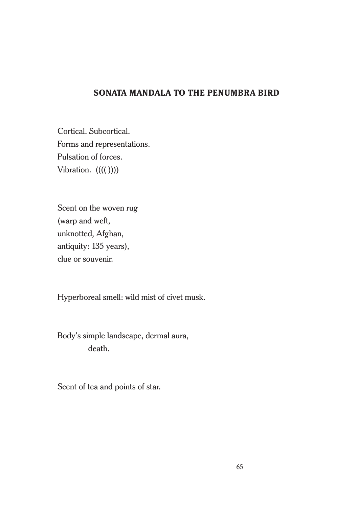## **SONATA MANDALA TO THE PENUMBRA BIRD**

Cortical. Subcortical. Forms and representations. Pulsation of forces. Vibration.  $(((())$ )

Scent on the woven rug (warp and weft, unknotted, Afghan, antiquity: 135 years), clue or souvenir.

Hyperboreal smell: wild mist of civet musk.

Body's simple landscape, dermal aura, death.

Scent of tea and points of star.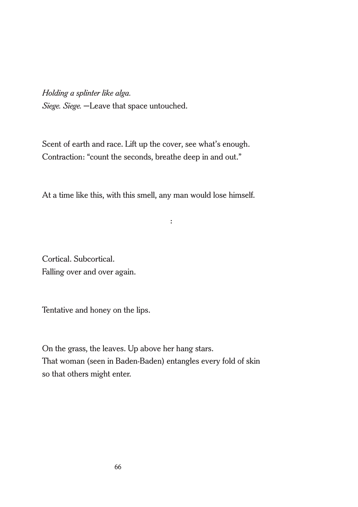*Holding a splinter like alga. Siege. Siege.* —Leave that space untouched.

Scent of earth and race. Lift up the cover, see what's enough. Contraction: "count the seconds, breathe deep in and out."

At a time like this, with this smell, any man would lose himself.

:

Cortical. Subcortical. Falling over and over again.

Tentative and honey on the lips.

On the grass, the leaves. Up above her hang stars. That woman (seen in Baden-Baden) entangles every fold of skin so that others might enter.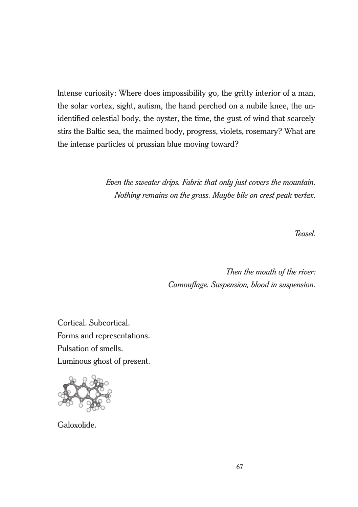Intense curiosity: Where does impossibility go, the gritty interior of a man, the solar vortex, sight, autism, the hand perched on a nubile knee, the unidentified celestial body, the oyster, the time, the gust of wind that scarcely stirs the Baltic sea, the maimed body, progress, violets, rosemary? What are the intense particles of prussian blue moving toward?

> *Even the sweater drips. Fabric that only just covers the mountain. Nothing remains on the grass. Maybe bile on crest peak vertex.*

> > *Teasel.*

*Then the mouth of the river: Camouflage. Suspension, blood in suspension.*

Cortical. Subcortical. Forms and representations. Pulsation of smells. Luminous ghost of present.



Galoxolide.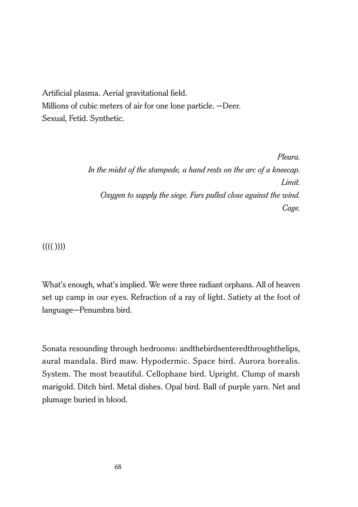Artificial plasma. Aerial gravitational field. Millions of cubic meters of air for one lone particle. —Deer. Sexual, Fetid. Synthetic.

> *Pleura. In the midst of the stampede, a hand rests on the arc of a kneecap. Limit. Oxygen to supply the siege. Furs pulled close against the wind. Cage.*

 $(((( ))))$ 

What's enough, what's implied. We were three radiant orphans. All of heaven set up camp in our eyes. Refraction of a ray of light. Satiety at the foot of language—Penumbra bird.

Sonata resounding through bedrooms: andthebirdsenteredthroughthelips, aural mandala. Bird maw. Hypodermic. Space bird. Aurora borealis. System. The most beautiful. Cellophane bird. Upright. Clump of marsh marigold. Ditch bird. Metal dishes. Opal bird. Ball of purple yarn. Net and plumage buried in blood.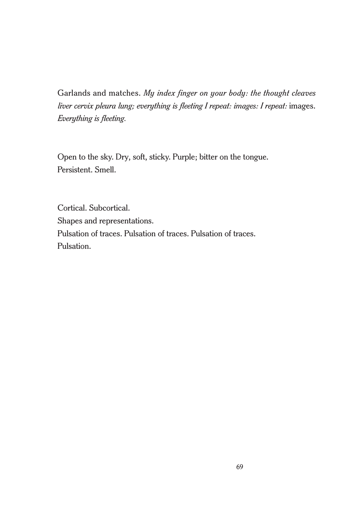Garlands and matches. *My index finger on your body: the thought cleaves liver cervix pleura lung; everything is fleeting I repeat: images: I repeat:* images. *Everything is fleeting.*

Open to the sky. Dry, soft, sticky. Purple; bitter on the tongue. Persistent. Smell.

Cortical. Subcortical. Shapes and representations. Pulsation of traces. Pulsation of traces. Pulsation of traces. Pulsation.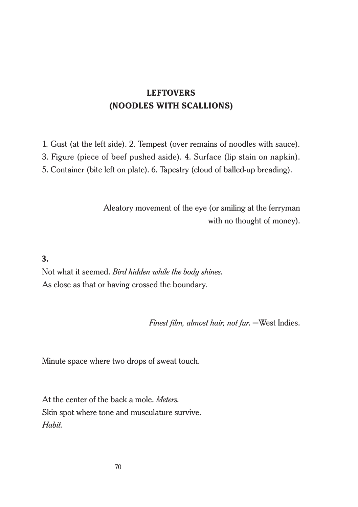# **LEFTOVERS (NOODLES WITH SCALLIONS)**

1. Gust (at the left side). 2. Tempest (over remains of noodles with sauce). 3. Figure (piece of beef pushed aside). 4. Surface (lip stain on napkin).

5. Container (bite left on plate). 6. Tapestry (cloud of balled-up breading).

Aleatory movement of the eye (or smiling at the ferryman with no thought of money).

#### **3.**

Not what it seemed. *Bird hidden while the body shines*. As close as that or having crossed the boundary.

*Finest film, almost hair, not fur*. —West Indies.

Minute space where two drops of sweat touch.

At the center of the back a mole. *Meters*. Skin spot where tone and musculature survive. *Habit*.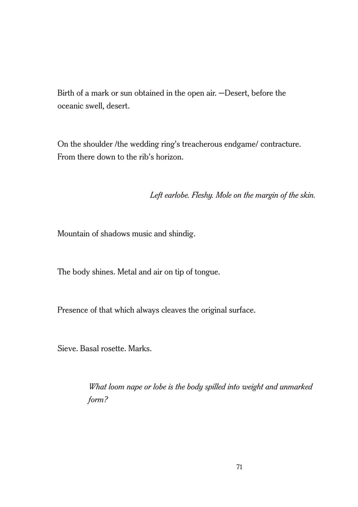Birth of a mark or sun obtained in the open air. —Desert, before the oceanic swell, desert.

On the shoulder /the wedding ring's treacherous endgame/ contracture. From there down to the rib's horizon.

*Left earlobe. Fleshy. Mole on the margin of the skin.*

Mountain of shadows music and shindig.

The body shines. Metal and air on tip of tongue.

Presence of that which always cleaves the original surface.

Sieve. Basal rosette. Marks.

*What loom nape or lobe is the body spilled into weight and unmarked form?*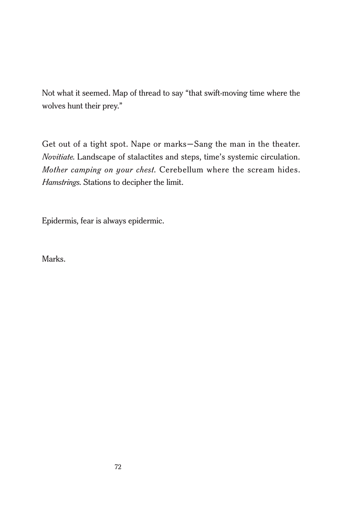Not what it seemed. Map of thread to say "that swift-moving time where the wolves hunt their prey."

Get out of a tight spot. Nape or marks—Sang the man in the theater. *Novitiate*. Landscape of stalactites and steps, time's systemic circulation. *Mother camping on your chest*. Cerebellum where the scream hides. *Hamstrings*. Stations to decipher the limit.

Epidermis, fear is always epidermic.

Marks.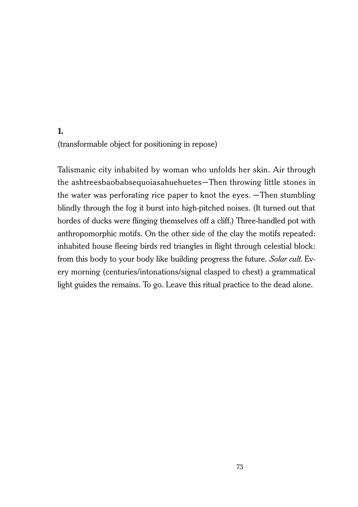## **1.** (transformable object for positioning in repose)

Talismanic city inhabited by woman who unfolds her skin. Air through the ashtreesbaobabsequoiasahuehuetes—Then throwing little stones in the water was perforating rice paper to knot the eyes. —Then stumbling blindly through the fog it burst into high-pitched noises. (It turned out that hordes of ducks were flinging themselves off a cliff.) Three-handled pot with anthropomorphic motifs. On the other side of the clay the motifs repeated: inhabited house fleeing birds red triangles in flight through celestial block: from this body to your body like building progress the future. *Solar cult*. Every morning (centuries/intonations/signal clasped to chest) a grammatical light guides the remains. To go. Leave this ritual practice to the dead alone.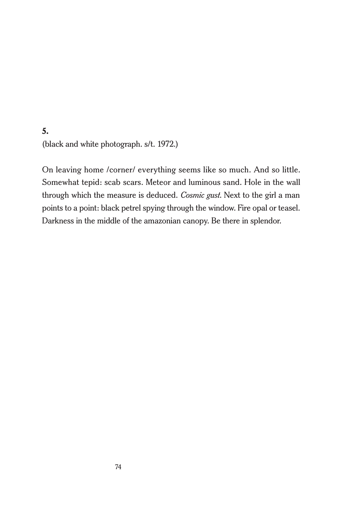#### **5.**

(black and white photograph. s/t. 1972.)

On leaving home /corner/ everything seems like so much. And so little. Somewhat tepid: scab scars. Meteor and luminous sand. Hole in the wall through which the measure is deduced. *Cosmic gust*. Next to the girl a man points to a point: black petrel spying through the window. Fire opal or teasel. Darkness in the middle of the amazonian canopy. Be there in splendor.